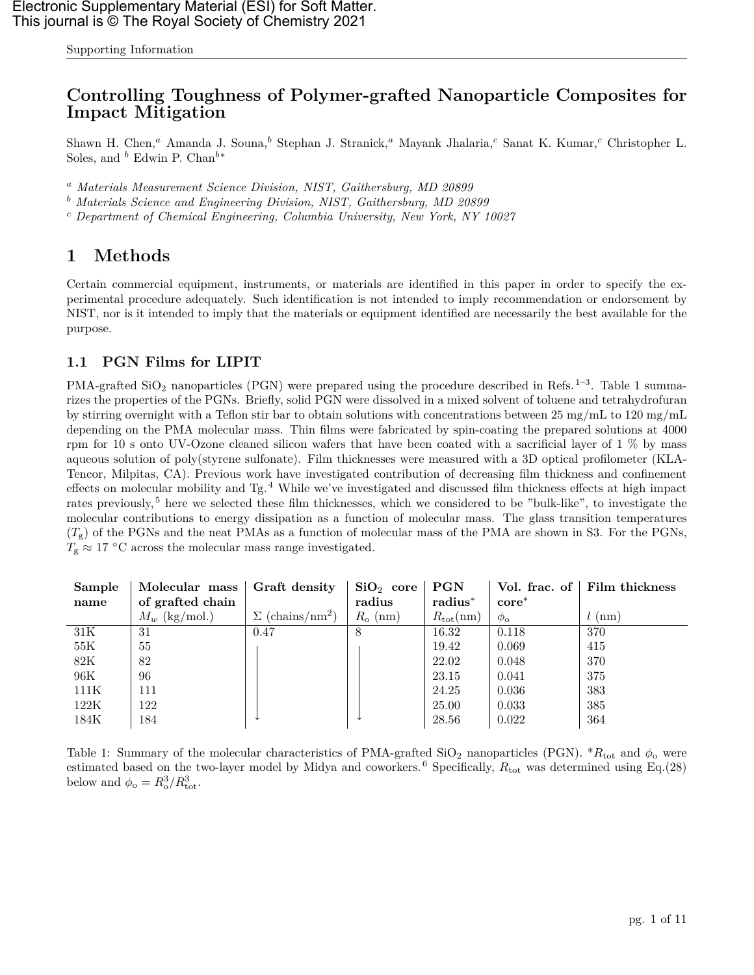Supporting Information

# **Controlling Toughness of Polymer-grafted Nanoparticle Composites for Impact Mitigation**

Shawn H. Chen,<sup>a</sup> Amanda J. Souna,<sup>b</sup> Stephan J. Stranick,<sup>a</sup> Mayank Jhalaria,<sup>c</sup> Sanat K. Kumar,<sup>c</sup> Christopher L. Soles, and  $\bar{b}$  Edwin P. Chan $\bar{b}^*$ 

<sup>a</sup> *Materials Measurement Science Division, NIST, Gaithersburg, MD 20899*

<sup>b</sup> *Materials Science and Engineering Division, NIST, Gaithersburg, MD 20899*

<sup>c</sup> *Department of Chemical Engineering, Columbia University, New York, NY 10027*

# **1 Methods**

Certain commercial equipment, instruments, or materials are identified in this paper in order to specify the experimental procedure adequately. Such identification is not intended to imply recommendation or endorsement by NIST, nor is it intended to imply that the materials or equipment identified are necessarily the best available for the purpose.

## **1.1 PGN Films for LIPIT**

PMA-grafted  $\text{SiO}_2$  nanoparticles (PGN) were prepared using the procedure described in Refs.<sup>[1](#page-10-0)[–3](#page-10-1)</sup>. Table [1](#page-0-0) summarizes the properties of the PGNs. Briefly, solid PGN were dissolved in a mixed solvent of toluene and tetrahydrofuran by stirring overnight with a Teflon stir bar to obtain solutions with concentrations between 25 mg/mL to 120 mg/mL depending on the PMA molecular mass. Thin films were fabricated by spin-coating the prepared solutions at 4000 rpm for 10 s onto UV-Ozone cleaned silicon wafers that have been coated with a sacrificial layer of 1 % by mass aqueous solution of poly(styrene sulfonate). Film thicknesses were measured with a 3D optical profilometer (KLA-Tencor, Milpitas, CA). Previous work have investigated contribution of decreasing film thickness and confinement effects on molecular mobility and  $Tg$ .<sup>[4](#page-10-2)</sup> While we've investigated and discussed film thickness effects at high impact rates previously, [5](#page-10-3) here we selected these film thicknesses, which we considered to be "bulk-like", to investigate the molecular contributions to energy dissipation as a function of molecular mass. The glass transition temperatures  $(T<sub>g</sub>)$  of the PGNs and the neat PMAs as a function of molecular mass of the PMA are shown in [S3.](#page-9-0) For the PGNs,  $T_{\rm g} \approx 17$  °C across the molecular mass range investigated.

| Sample | Molecular mass   | Graft density                      | $SiO2$ core $\vdash$ | PGN               | Vol. frac. of     | Film thickness   |
|--------|------------------|------------------------------------|----------------------|-------------------|-------------------|------------------|
| name   | of grafted chain |                                    | radius               | $radius^*$        | $\mathbf{core}^*$ |                  |
|        | $M_w$ (kg/mol.)  | $\Sigma$ (chains/nm <sup>2</sup> ) | $R_{\rm o}$ (nm)     | $R_{\rm tot}(nm)$ | $\phi_{\rm o}$    | $l \text{ (nm)}$ |
| 31K    | 31               | 0.47                               | 8                    | 16.32             | 0.118             | 370              |
| 55K    | 55               |                                    |                      | 19.42             | 0.069             | 415              |
| 82K    | 82               |                                    |                      | 22.02             | 0.048             | 370              |
| 96K    | 96               |                                    |                      | 23.15             | 0.041             | 375              |
| 111K   | 111              |                                    |                      | 24.25             | 0.036             | 383              |
| 122K   | 122              |                                    |                      | 25.00             | 0.033             | 385              |
| 184K   | 184              |                                    |                      | 28.56             | 0.022             | 364              |

<span id="page-0-0"></span>Table 1: Summary of the molecular characteristics of PMA-grafted  $SiO_2$  nanoparticles (PGN). \* $R_{tot}$  and  $\phi_0$  were estimated based on the two-layer model by Midya and coworkers.<sup>[6](#page-10-4)</sup> Specifically,  $R_{\text{tot}}$  was determined using Eq.[\(28\)](#page-6-0) below and  $\phi_{\rm o} = R_{\rm o}^3 / R_{\rm tot}^3$ .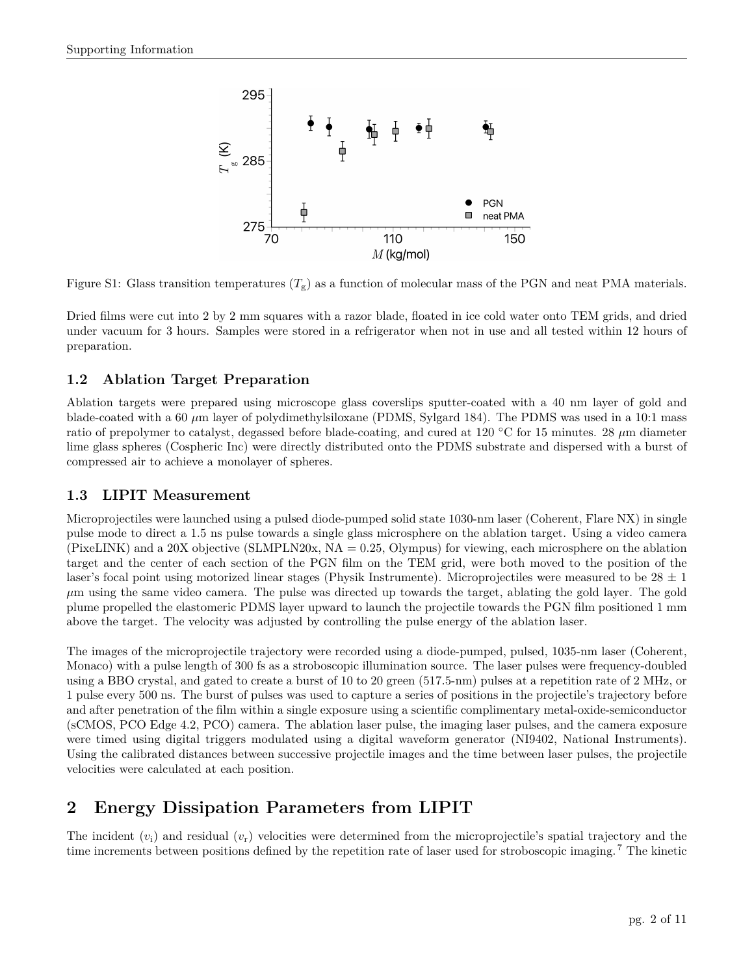

Figure S1: Glass transition temperatures  $(T_g)$  as a function of molecular mass of the PGN and neat PMA materials.

Dried films were cut into 2 by 2 mm squares with a razor blade, floated in ice cold water onto TEM grids, and dried under vacuum for 3 hours. Samples were stored in a refrigerator when not in use and all tested within 12 hours of preparation.

## **1.2 Ablation Target Preparation**

Ablation targets were prepared using microscope glass coverslips sputter-coated with a 40 nm layer of gold and blade-coated with a 60  $\mu$ m layer of polydimethylsiloxane (PDMS, Sylgard 184). The PDMS was used in a 10:1 mass ratio of prepolymer to catalyst, degassed before blade-coating, and cured at 120 ◦C for 15 minutes. 28 µm diameter lime glass spheres (Cospheric Inc) were directly distributed onto the PDMS substrate and dispersed with a burst of compressed air to achieve a monolayer of spheres.

## **1.3 LIPIT Measurement**

Microprojectiles were launched using a pulsed diode-pumped solid state 1030-nm laser (Coherent, Flare NX) in single pulse mode to direct a 1.5 ns pulse towards a single glass microsphere on the ablation target. Using a video camera (PixeLINK) and a 20X objective (SLMPLN20x, NA = 0.25, Olympus) for viewing, each microsphere on the ablation target and the center of each section of the PGN film on the TEM grid, were both moved to the position of the laser's focal point using motorized linear stages (Physik Instrumente). Microprojectiles were measured to be  $28 \pm 1$  $\mu$ m using the same video camera. The pulse was directed up towards the target, ablating the gold layer. The gold plume propelled the elastomeric PDMS layer upward to launch the projectile towards the PGN film positioned 1 mm above the target. The velocity was adjusted by controlling the pulse energy of the ablation laser.

The images of the microprojectile trajectory were recorded using a diode-pumped, pulsed, 1035-nm laser (Coherent, Monaco) with a pulse length of 300 fs as a stroboscopic illumination source. The laser pulses were frequency-doubled using a BBO crystal, and gated to create a burst of 10 to 20 green (517.5-nm) pulses at a repetition rate of 2 MHz, or 1 pulse every 500 ns. The burst of pulses was used to capture a series of positions in the projectile's trajectory before and after penetration of the film within a single exposure using a scientific complimentary metal-oxide-semiconductor (sCMOS, PCO Edge 4.2, PCO) camera. The ablation laser pulse, the imaging laser pulses, and the camera exposure were timed using digital triggers modulated using a digital waveform generator (NI9402, National Instruments). Using the calibrated distances between successive projectile images and the time between laser pulses, the projectile velocities were calculated at each position.

# **2 Energy Dissipation Parameters from LIPIT**

The incident  $(v_i)$  and residual  $(v_r)$  velocities were determined from the microprojectile's spatial trajectory and the time increments between positions defined by the repetition rate of laser used for stroboscopic imaging. [7](#page-10-6) The kinetic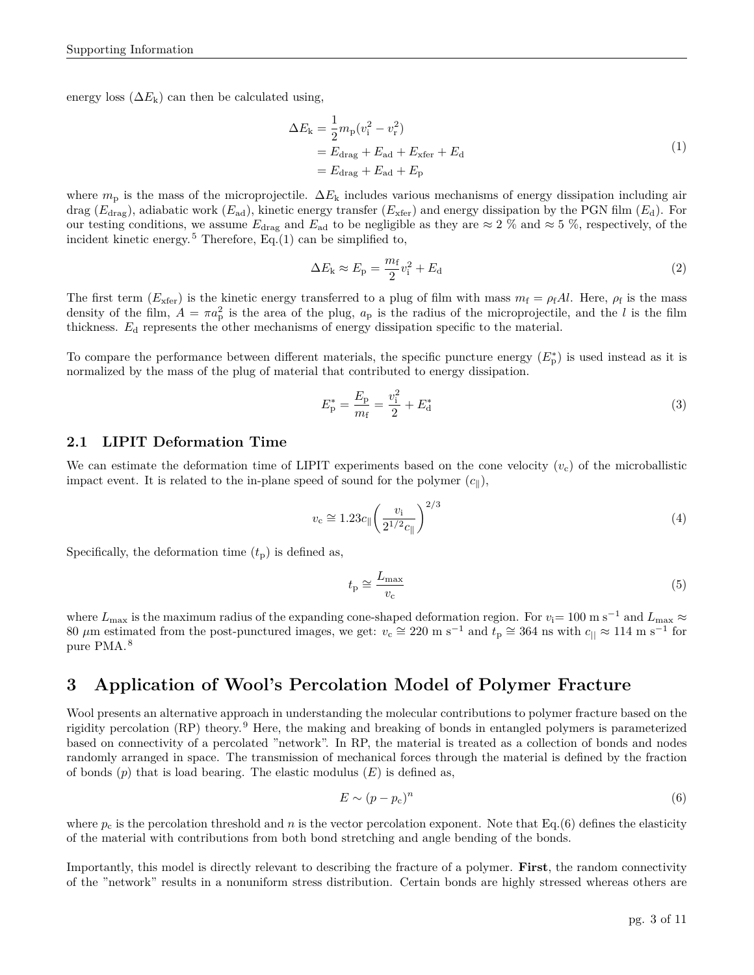<span id="page-2-0"></span>energy loss  $(\Delta E_k)$  can then be calculated using,

$$
\Delta E_{\mathbf{k}} = \frac{1}{2} m_{\mathbf{p}} (v_{\mathbf{i}}^2 - v_{\mathbf{r}}^2)
$$
  
=  $E_{\text{drag}} + E_{\text{ad}} + E_{\text{xfer}} + E_{\text{d}}$   
=  $E_{\text{drag}} + E_{\text{ad}} + E_{\mathbf{p}}$  (1)

where  $m_{\rm p}$  is the mass of the microprojectile.  $\Delta E_{\rm k}$  includes various mechanisms of energy dissipation including air drag ( $E_{\text{drag}}$ ), adiabatic work ( $E_{\text{ad}}$ ), kinetic energy transfer ( $E_{\text{xfer}}$ ) and energy dissipation by the PGN film ( $E_{\text{d}}$ ). For our testing conditions, we assume  $E_{drag}$  and  $E_{ad}$  to be negligible as they are  $\approx 2\%$  and  $\approx 5\%$ , respectively, of the incident kinetic energy.<sup>[5](#page-10-3)</sup> Therefore, Eq.[\(1\)](#page-2-0) can be simplified to,

$$
\Delta E_{\rm k} \approx E_{\rm p} = \frac{m_{\rm f}}{2} v_{\rm i}^2 + E_{\rm d} \tag{2}
$$

The first term  $(E_{\text{xfer}})$  is the kinetic energy transferred to a plug of film with mass  $m_f = \rho_f A l$ . Here,  $\rho_f$  is the mass density of the film,  $A = \pi a_p^2$  is the area of the plug,  $a_p$  is the radius of the microprojectile, and the l is the film thickness. E<sup>d</sup> represents the other mechanisms of energy dissipation specific to the material.

To compare the performance between different materials, the specific puncture energy  $(E_p^*)$  is used instead as it is normalized by the mass of the plug of material that contributed to energy dissipation.

$$
E_{\rm p}^* = \frac{E_{\rm p}}{m_{\rm f}} = \frac{v_{\rm i}^2}{2} + E_{\rm d}^* \tag{3}
$$

### **2.1 LIPIT Deformation Time**

We can estimate the deformation time of LIPIT experiments based on the cone velocity  $(v_c)$  of the microballistic impact event. It is related to the in-plane speed of sound for the polymer  $(c_{\parallel})$ ,

$$
v_{\rm c} \cong 1.23c_{\|} \left(\frac{v_{\rm i}}{2^{1/2}c_{\|}}\right)^{2/3} \tag{4}
$$

Specifically, the deformation time  $(t_p)$  is defined as,

$$
t_{\rm p} \cong \frac{L_{\rm max}}{v_{\rm c}}\tag{5}
$$

where  $L_{\text{max}}$  is the maximum radius of the expanding cone-shaped deformation region. For  $v_i=100$  m s<sup>-1</sup> and  $L_{\text{max}} \approx$ 80  $\mu$ m estimated from the post-punctured images, we get:  $v_c \approx 220$  m s<sup>-1</sup> and  $t_p \approx 364$  ns with  $c_{\parallel} \approx 114$  m s<sup>-1</sup> for pure PMA. [8](#page-10-7)

# **3 Application of Wool's Percolation Model of Polymer Fracture**

Wool presents an alternative approach in understanding the molecular contributions to polymer fracture based on the rigidity percolation (RP) theory. [9](#page-10-8) Here, the making and breaking of bonds in entangled polymers is parameterized based on connectivity of a percolated "network". In RP, the material is treated as a collection of bonds and nodes randomly arranged in space. The transmission of mechanical forces through the material is defined by the fraction of bonds  $(p)$  that is load bearing. The elastic modulus  $(E)$  is defined as,

<span id="page-2-1"></span>
$$
E \sim (p - p_c)^n \tag{6}
$$

where  $p_c$  is the percolation threshold and n is the vector percolation exponent. Note that Eq.[\(6\)](#page-2-1) defines the elasticity of the material with contributions from both bond stretching and angle bending of the bonds.

Importantly, this model is directly relevant to describing the fracture of a polymer. **First**, the random connectivity of the "network" results in a nonuniform stress distribution. Certain bonds are highly stressed whereas others are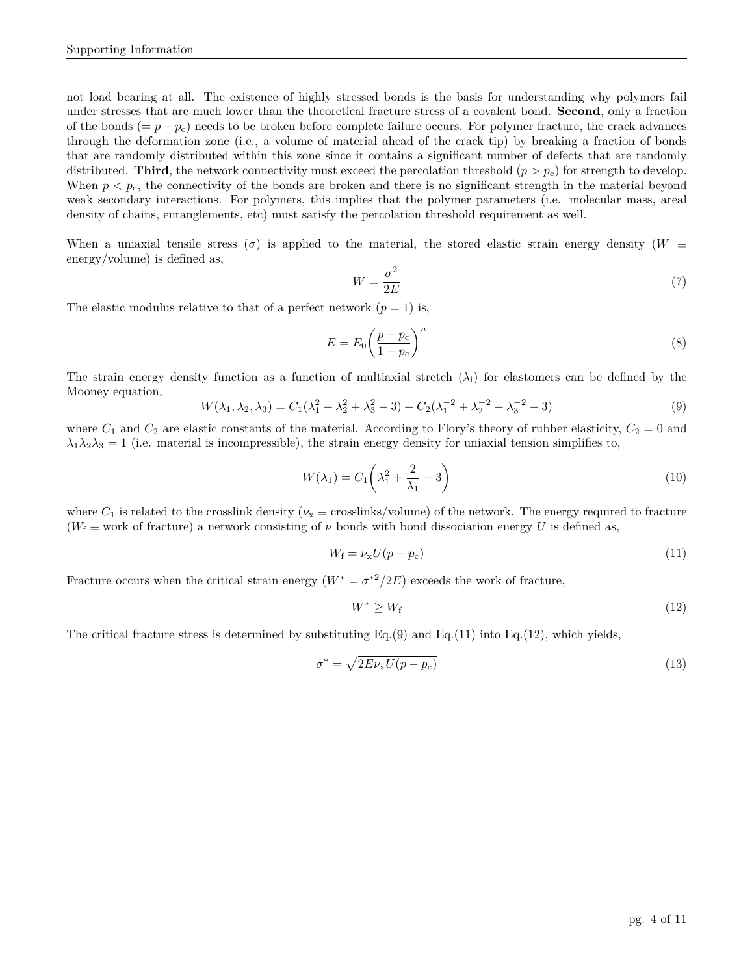not load bearing at all. The existence of highly stressed bonds is the basis for understanding why polymers fail under stresses that are much lower than the theoretical fracture stress of a covalent bond. **Second**, only a fraction of the bonds  $(= p - p_c)$  needs to be broken before complete failure occurs. For polymer fracture, the crack advances through the deformation zone (i.e., a volume of material ahead of the crack tip) by breaking a fraction of bonds that are randomly distributed within this zone since it contains a significant number of defects that are randomly distributed. **Third**, the network connectivity must exceed the percolation threshold  $(p > p_c)$  for strength to develop. When  $p < p<sub>c</sub>$ , the connectivity of the bonds are broken and there is no significant strength in the material beyond weak secondary interactions. For polymers, this implies that the polymer parameters (i.e. molecular mass, areal density of chains, entanglements, etc) must satisfy the percolation threshold requirement as well.

When a uniaxial tensile stress ( $\sigma$ ) is applied to the material, the stored elastic strain energy density ( $W \equiv$ energy/volume) is defined as,

$$
W = \frac{\sigma^2}{2E} \tag{7}
$$

The elastic modulus relative to that of a perfect network  $(p = 1)$  is,

$$
E = E_0 \left(\frac{p - p_c}{1 - p_c}\right)^n \tag{8}
$$

The strain energy density function as a function of multiaxial stretch  $(\lambda_i)$  for elastomers can be defined by the Mooney equation,

<span id="page-3-0"></span>
$$
W(\lambda_1, \lambda_2, \lambda_3) = C_1(\lambda_1^2 + \lambda_2^2 + \lambda_3^2 - 3) + C_2(\lambda_1^{-2} + \lambda_2^{-2} + \lambda_3^{-2} - 3)
$$
\n(9)

where  $C_1$  and  $C_2$  are elastic constants of the material. According to Flory's theory of rubber elasticity,  $C_2 = 0$  and  $\lambda_1\lambda_2\lambda_3 = 1$  (i.e. material is incompressible), the strain energy density for uniaxial tension simplifies to,

<span id="page-3-3"></span>
$$
W(\lambda_1) = C_1 \left(\lambda_1^2 + \frac{2}{\lambda_1} - 3\right) \tag{10}
$$

where  $C_1$  is related to the crosslink density ( $\nu_x \equiv$  crosslinks/volume) of the network. The energy required to fracture  $(W_f \equiv \text{work of fracture})$  a network consisting of  $\nu$  bonds with bond dissociation energy U is defined as,

<span id="page-3-1"></span>
$$
W_{\rm f} = \nu_{\rm x} U(p - p_{\rm c})\tag{11}
$$

Fracture occurs when the critical strain energy  $(W^* = \sigma^{*2}/2E)$  exceeds the work of fracture,

<span id="page-3-2"></span>
$$
W^* \ge W_f \tag{12}
$$

The critical fracture stress is determined by substituting Eq.[\(9\)](#page-3-0) and Eq.[\(11\)](#page-3-1) into Eq.[\(12\)](#page-3-2), which yields,

$$
\sigma^* = \sqrt{2E\nu_x U(p - p_c)}\tag{13}
$$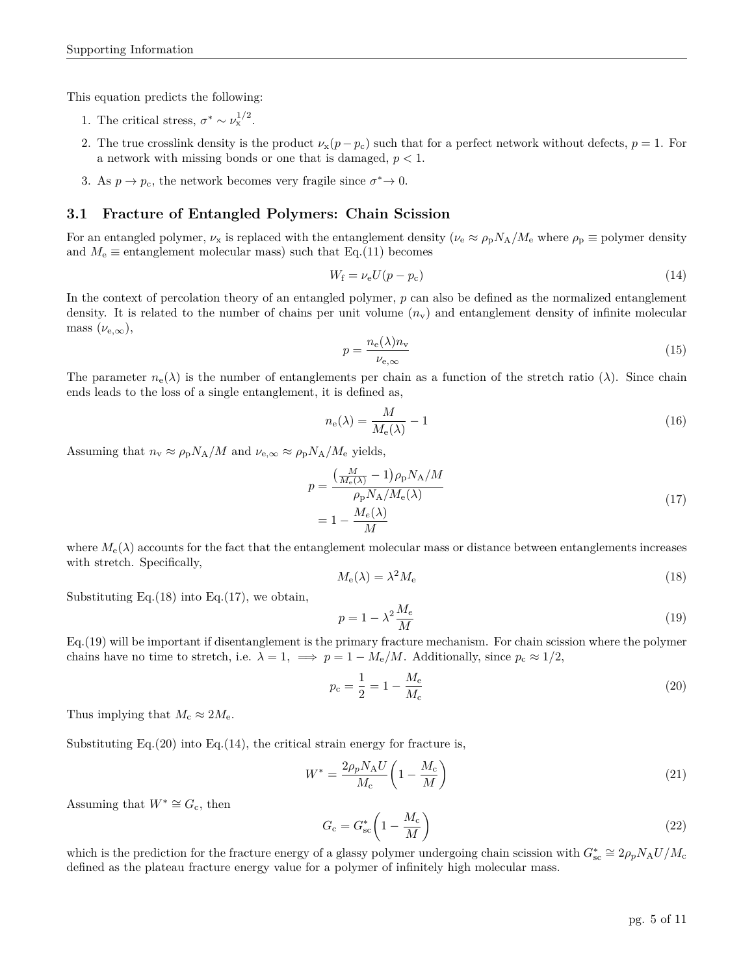This equation predicts the following:

- 1. The critical stress,  $\sigma^* \sim \nu_x^{1/2}$ .
- 2. The true crosslink density is the product  $\nu_x(p p_c)$  such that for a perfect network without defects,  $p = 1$ . For a network with missing bonds or one that is damaged,  $p < 1$ .
- 3. As  $p \to p_c$ , the network becomes very fragile since  $\sigma^* \to 0$ .

### **3.1 Fracture of Entangled Polymers: Chain Scission**

For an entangled polymer,  $\nu_x$  is replaced with the entanglement density  $(\nu_e \approx \rho_p N_A/M_e$  where  $\rho_p \equiv$  polymer density and  $M_e \equiv$  entanglement molecular mass) such that Eq.[\(11\)](#page-3-1) becomes

<span id="page-4-4"></span>
$$
W_{\rm f} = \nu_{\rm e} U(p - p_{\rm c})\tag{14}
$$

In the context of percolation theory of an entangled polymer,  $p$  can also be defined as the normalized entanglement density. It is related to the number of chains per unit volume  $(n_v)$  and entanglement density of infinite molecular mass  $(\nu_{e,\infty}),$ 

$$
p = \frac{n_e(\lambda)n_v}{\nu_{e,\infty}}\tag{15}
$$

The parameter  $n_e(\lambda)$  is the number of entanglements per chain as a function of the stretch ratio ( $\lambda$ ). Since chain ends leads to the loss of a single entanglement, it is defined as,

$$
n_{\rm e}(\lambda) = \frac{M}{M_{\rm e}(\lambda)} - 1\tag{16}
$$

<span id="page-4-1"></span>Assuming that  $n_v \approx \rho_p N_A/M$  and  $\nu_{e,\infty} \approx \rho_p N_A/M_e$  yields,

$$
p = \frac{\left(\frac{M}{M_e(\lambda)} - 1\right)\rho_p N_A/M}{\rho_p N_A/M_e(\lambda)}
$$
  
= 
$$
1 - \frac{M_e(\lambda)}{M}
$$
 (17)

where  $M_e(\lambda)$  accounts for the fact that the entanglement molecular mass or distance between entanglements increases with stretch. Specifically,

<span id="page-4-0"></span>
$$
M_{\rm e}(\lambda) = \lambda^2 M_{\rm e} \tag{18}
$$

Substituting Eq. $(18)$  into Eq. $(17)$ , we obtain,

<span id="page-4-2"></span>
$$
p = 1 - \lambda^2 \frac{M_e}{M}
$$
 (19)

Eq.[\(19\)](#page-4-2) will be important if disentanglement is the primary fracture mechanism. For chain scission where the polymer chains have no time to stretch, i.e.  $\lambda = 1$ ,  $\implies p = 1 - M_e/M$ . Additionally, since  $p_c \approx 1/2$ ,

<span id="page-4-3"></span>
$$
p_{\rm c} = \frac{1}{2} = 1 - \frac{M_{\rm e}}{M_{\rm c}}\tag{20}
$$

Thus implying that  $M_c \approx 2M_e$ .

Substituting Eq. $(20)$  into Eq. $(14)$ , the critical strain energy for fracture is,

$$
W^* = \frac{2\rho_p N_{\rm A} U}{M_{\rm c}} \left(1 - \frac{M_{\rm c}}{M}\right) \tag{21}
$$

Assuming that  $W^* \cong G_c$ , then

$$
G_{\rm c} = G_{\rm sc}^* \left( 1 - \frac{M_{\rm c}}{M} \right) \tag{22}
$$

which is the prediction for the fracture energy of a glassy polymer undergoing chain scission with  $G_{\rm sc}^* \cong 2\rho_p N_{\rm A} U / M_{\rm c}$ defined as the plateau fracture energy value for a polymer of infinitely high molecular mass.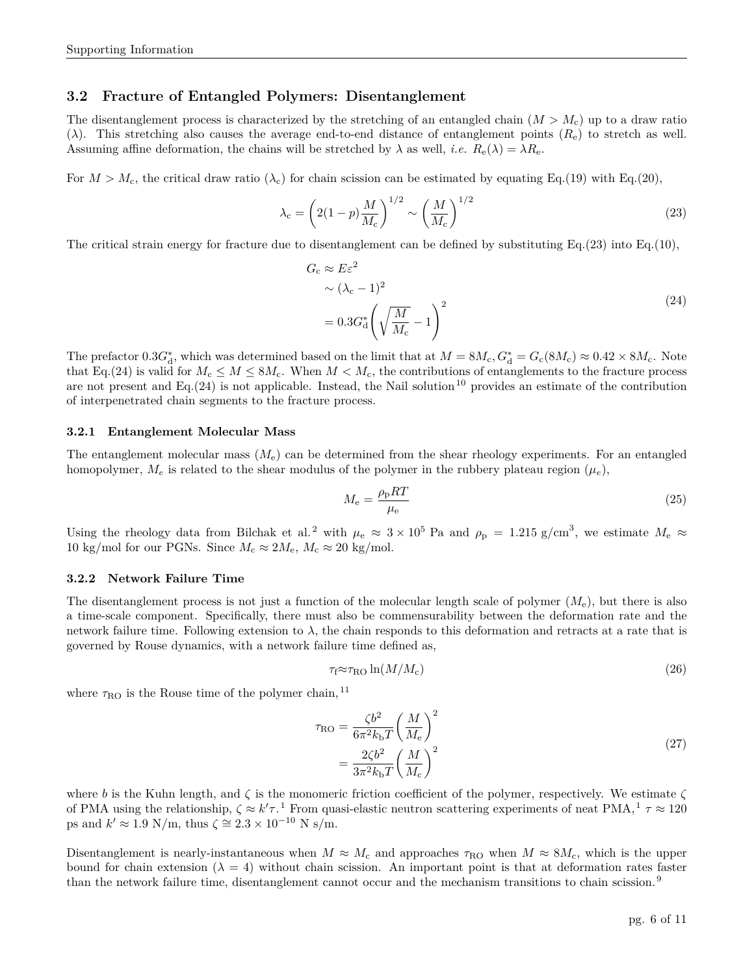### **3.2 Fracture of Entangled Polymers: Disentanglement**

The disentanglement process is characterized by the stretching of an entangled chain  $(M > M_c)$  up to a draw ratio ( $\lambda$ ). This stretching also causes the average end-to-end distance of entanglement points ( $R_e$ ) to stretch as well. Assuming affine deformation, the chains will be stretched by  $\lambda$  as well, *i.e.*  $R_e(\lambda) = \lambda R_e$ .

For  $M > M_c$ , the critical draw ratio  $(\lambda_c)$  for chain scission can be estimated by equating Eq.[\(19\)](#page-4-2) with Eq.[\(20\)](#page-4-3),

<span id="page-5-0"></span>
$$
\lambda_{\rm c} = \left(2(1-p)\frac{M}{M_{\rm c}}\right)^{1/2} \sim \left(\frac{M}{M_{\rm c}}\right)^{1/2} \tag{23}
$$

<span id="page-5-1"></span>The critical strain energy for fracture due to disentanglement can be defined by substituting Eq.[\(23\)](#page-5-0) into Eq.[\(10\)](#page-3-3),

$$
G_{\rm c} \approx E\varepsilon^2
$$
  
\n
$$
\sim (\lambda_{\rm c} - 1)^2
$$
  
\n
$$
= 0.3G_{\rm d}^* \left(\sqrt{\frac{M}{M_{\rm c}}} - 1\right)^2
$$
\n(24)

The prefactor  $0.3G_d^*$ , which was determined based on the limit that at  $M = 8M_c$ ,  $G_d^* = G_c(8M_c) \approx 0.42 \times 8M_c$ . Note that Eq.[\(24\)](#page-5-1) is valid for  $M_c \leq M \leq 8M_c$ . When  $M < M_c$ , the contributions of entanglements to the fracture process are not present and Eq.  $(24)$  is not applicable. Instead, the Nail solution <sup>[10](#page-10-9)</sup> provides an estimate of the contribution of interpenetrated chain segments to the fracture process.

### **3.2.1 Entanglement Molecular Mass**

The entanglement molecular mass  $(M_e)$  can be determined from the shear rheology experiments. For an entangled homopolymer,  $M_e$  is related to the shear modulus of the polymer in the rubbery plateau region  $(\mu_e)$ ,

$$
M_{\rm e} = \frac{\rho_{\rm p}RT}{\mu_{\rm e}}\tag{25}
$$

Using the rheology data from Bilchak et al.<sup>[2](#page-10-10)</sup> with  $\mu_e \approx 3 \times 10^5$  Pa and  $\rho_p = 1.215$  g/cm<sup>3</sup>, we estimate  $M_e \approx$ 10 kg/mol for our PGNs. Since  $M_c \approx 2M_e$ ,  $M_c \approx 20$  kg/mol.

#### **3.2.2 Network Failure Time**

The disentanglement process is not just a function of the molecular length scale of polymer  $(M_e)$ , but there is also a time-scale component. Specifically, there must also be commensurability between the deformation rate and the network failure time. Following extension to  $\lambda$ , the chain responds to this deformation and retracts at a rate that is governed by Rouse dynamics, with a network failure time defined as,

$$
\tau_{\rm f} \approx \tau_{\rm RO} \ln(M/M_{\rm c}) \tag{26}
$$

where  $\tau_{\rm RO}$  is the Rouse time of the polymer chain,  $^{11}$  $^{11}$  $^{11}$ 

$$
\tau_{\rm RO} = \frac{\zeta b^2}{6\pi^2 k_{\rm b} T} \left(\frac{M}{M_{\rm e}}\right)^2
$$
  
= 
$$
\frac{2\zeta b^2}{3\pi^2 k_{\rm b} T} \left(\frac{M}{M_{\rm c}}\right)^2
$$
 (27)

where b is the Kuhn length, and  $\zeta$  is the monomeric friction coefficient of the polymer, respectively. We estimate  $\zeta$ of PMA using the relationship,  $\zeta \approx k' \tau$ .<sup>[1](#page-10-0)</sup> From quasi-elastic neutron scattering experiments of neat PMA,<sup>1</sup>  $\tau \approx 120$ ps and  $k' \approx 1.9 \text{ N/m}$ , thus  $\zeta \approx 2.3 \times 10^{-10} \text{ N s/m}$ .

Disentanglement is nearly-instantaneous when  $M \approx M_c$  and approaches  $\tau_{\rm RO}$  when  $M \approx 8M_c$ , which is the upper bound for chain extension ( $\lambda = 4$ ) without chain scission. An important point is that at deformation rates faster than the network failure time, disentanglement cannot occur and the mechanism transitions to chain scission. [9](#page-10-8)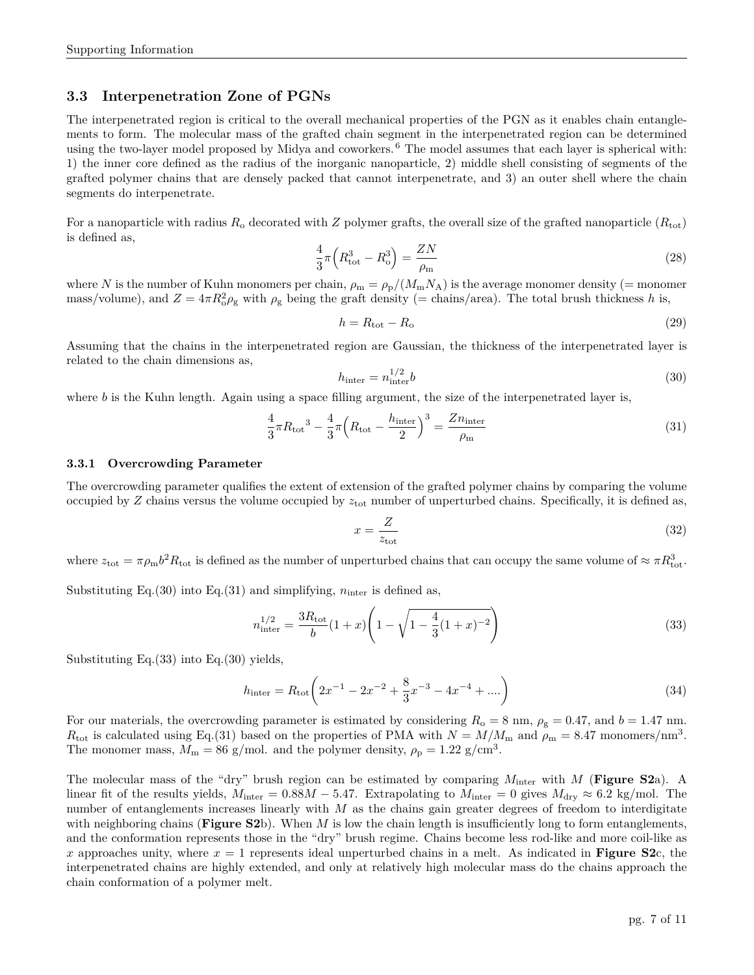### **3.3 Interpenetration Zone of PGNs**

The interpenetrated region is critical to the overall mechanical properties of the PGN as it enables chain entanglements to form. The molecular mass of the grafted chain segment in the interpenetrated region can be determined using the two-layer model proposed by Midya and coworkers.<sup>[6](#page-10-4)</sup> The model assumes that each layer is spherical with: 1) the inner core defined as the radius of the inorganic nanoparticle, 2) middle shell consisting of segments of the grafted polymer chains that are densely packed that cannot interpenetrate, and 3) an outer shell where the chain segments do interpenetrate.

For a nanoparticle with radius  $R_0$  decorated with Z polymer grafts, the overall size of the grafted nanoparticle  $(R_{tot})$ is defined as,

<span id="page-6-0"></span>
$$
\frac{4}{3}\pi \left(R_{\text{tot}}^3 - R_{\text{o}}^3\right) = \frac{ZN}{\rho_{\text{m}}} \tag{28}
$$

where N is the number of Kuhn monomers per chain,  $\rho_m = \rho_p/(M_m N_A)$  is the average monomer density (= monomer mass/volume), and  $Z = 4\pi R_o^2 \rho_g$  with  $\rho_g$  being the graft density (= chains/area). The total brush thickness h is,

$$
h = R_{\text{tot}} - R_{\text{o}} \tag{29}
$$

Assuming that the chains in the interpenetrated region are Gaussian, the thickness of the interpenetrated layer is related to the chain dimensions as,

<span id="page-6-1"></span>
$$
h_{\text{inter}} = n_{\text{inter}}^{1/2} b \tag{30}
$$

where b is the Kuhn length. Again using a space filling argument, the size of the interpenetrated layer is,

<span id="page-6-2"></span>
$$
\frac{4}{3}\pi R_{\text{tot}}^3 - \frac{4}{3}\pi \left(R_{\text{tot}} - \frac{h_{\text{inter}}}{2}\right)^3 = \frac{Zn_{\text{inter}}}{\rho_{\text{m}}}
$$
\n(31)

#### **3.3.1 Overcrowding Parameter**

The overcrowding parameter qualifies the extent of extension of the grafted polymer chains by comparing the volume occupied by  $Z$  chains versus the volume occupied by  $z_{\text{tot}}$  number of unperturbed chains. Specifically, it is defined as,

$$
x = \frac{Z}{z_{\text{tot}}}
$$
 (32)

where  $z_{\text{tot}} = \pi \rho_{\text{m}} b^2 R_{\text{tot}}$  is defined as the number of unperturbed chains that can occupy the same volume of  $\approx \pi R_{\text{tot}}^3$ .

Substituting Eq.[\(30\)](#page-6-1) into Eq.[\(31\)](#page-6-2) and simplifying,  $n_{\text{inter}}$  is defined as,

<span id="page-6-3"></span>
$$
n_{\text{inter}}^{1/2} = \frac{3R_{\text{tot}}}{b}(1+x)\left(1-\sqrt{1-\frac{4}{3}(1+x)^{-2}}\right)
$$
\n(33)

Substituting Eq.[\(33\)](#page-6-3) into Eq.[\(30\)](#page-6-1) yields,

$$
h_{\text{inter}} = R_{\text{tot}} \left( 2x^{-1} - 2x^{-2} + \frac{8}{3}x^{-3} - 4x^{-4} + \dots \right) \tag{34}
$$

For our materials, the overcrowding parameter is estimated by considering  $R_0 = 8$  nm,  $\rho_{\rm g} = 0.47$ , and  $b = 1.47$  nm.  $R_{\text{tot}}$  is calculated using Eq.[\(31\)](#page-6-2) based on the properties of PMA with  $N = M/M_{\text{m}}$  and  $\rho_{\text{m}} = 8.47$  monomers/nm<sup>3</sup>. The monomer mass,  $M_{\rm m} = 86$  g/mol. and the polymer density,  $\rho_{\rm p} = 1.22$  g/cm<sup>3</sup>.

The molecular mass of the "dry" brush region can be estimated by comparing Minter with M (**Figure [S2](#page-7-0)**a). A linear fit of the results yields,  $M_{\text{inter}} = 0.88M - 5.47$ . Extrapolating to  $M_{\text{inter}} = 0$  gives  $M_{\text{dry}} \approx 6.2$  kg/mol. The number of entanglements increases linearly with  $M$  as the chains gain greater degrees of freedom to interdigitate with neighboring chains (**Figure [S2](#page-7-0)**b). When M is low the chain length is insufficiently long to form entanglements, and the conformation represents those in the "dry" brush regime. Chains become less rod-like and more coil-like as x approaches unity, where  $x = 1$  represents ideal unperturbed chains in a melt. As indicated in **Figure** [S2](#page-7-0)c, the interpenetrated chains are highly extended, and only at relatively high molecular mass do the chains approach the chain conformation of a polymer melt.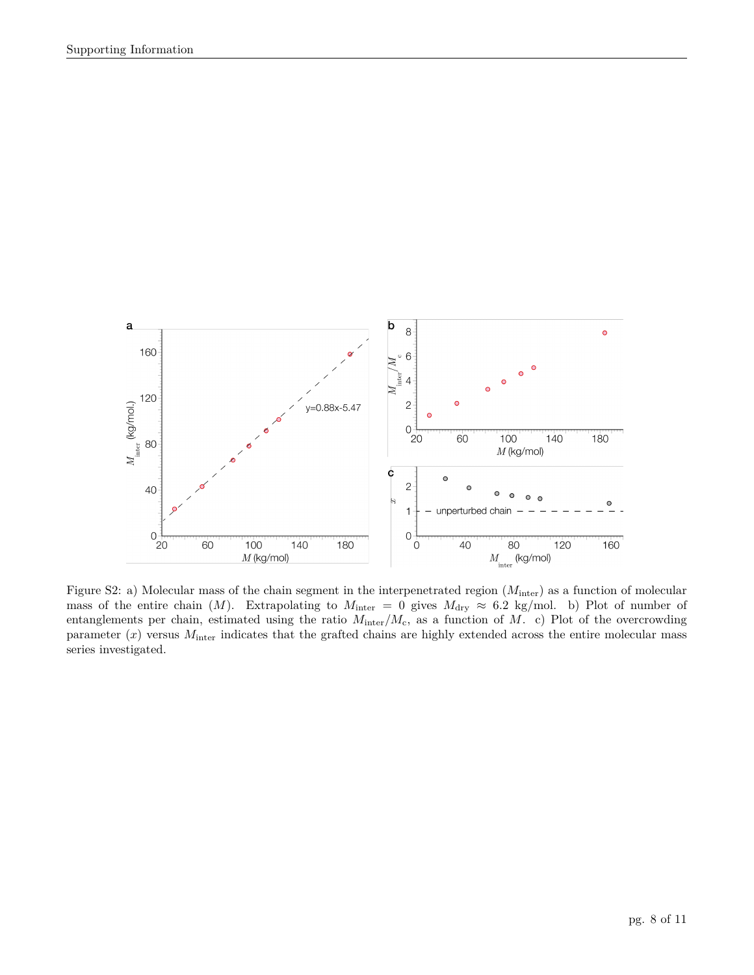

<span id="page-7-0"></span>Figure S2: a) Molecular mass of the chain segment in the interpenetrated region  $(M<sub>inter</sub>)$  as a function of molecular mass of the entire chain (M). Extrapolating to  $M_{\text{inter}} = 0$  gives  $M_{\text{dry}} \approx 6.2$  kg/mol. b) Plot of number of entanglements per chain, estimated using the ratio  $M_{\text{inter}}/M_c$ , as a function of M. c) Plot of the overcrowding parameter  $(x)$  versus  $M_{\text{inter}}$  indicates that the grafted chains are highly extended across the entire molecular mass series investigated.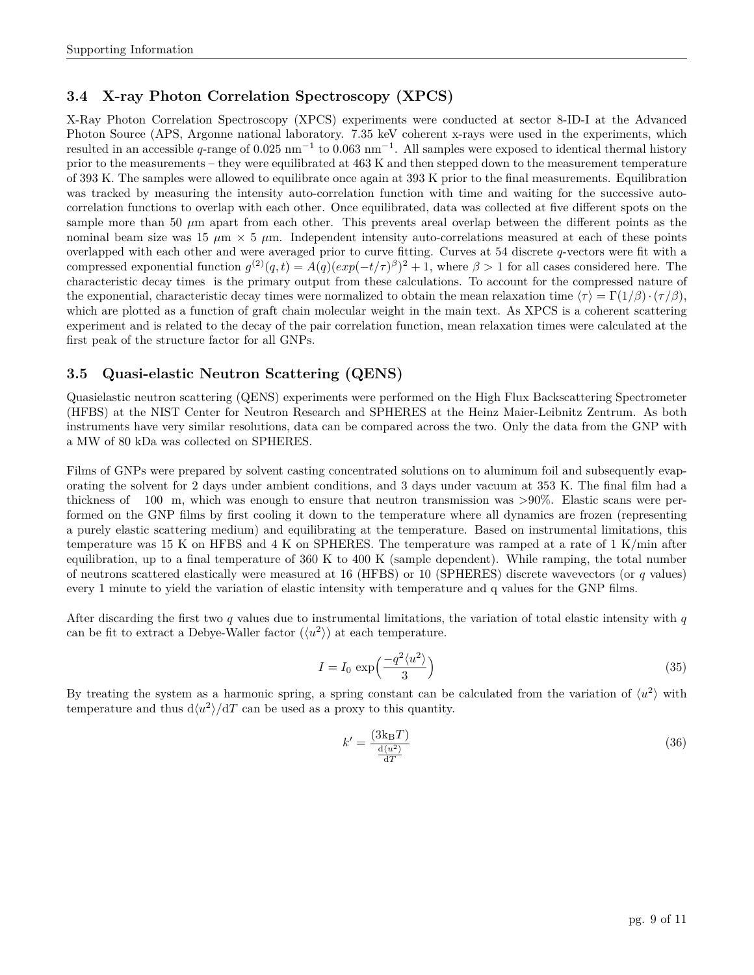## **3.4 X-ray Photon Correlation Spectroscopy (XPCS)**

X-Ray Photon Correlation Spectroscopy (XPCS) experiments were conducted at sector 8-ID-I at the Advanced Photon Source (APS, Argonne national laboratory. 7.35 keV coherent x-rays were used in the experiments, which resulted in an accessible q-range of  $0.025$  nm<sup>-1</sup> to  $0.063$  nm<sup>-1</sup>. All samples were exposed to identical thermal history prior to the measurements – they were equilibrated at 463 K and then stepped down to the measurement temperature of 393 K. The samples were allowed to equilibrate once again at 393 K prior to the final measurements. Equilibration was tracked by measuring the intensity auto-correlation function with time and waiting for the successive autocorrelation functions to overlap with each other. Once equilibrated, data was collected at five different spots on the sample more than 50  $\mu$ m apart from each other. This prevents areal overlap between the different points as the nominal beam size was 15  $\mu$ m  $\times$  5  $\mu$ m. Independent intensity auto-correlations measured at each of these points overlapped with each other and were averaged prior to curve fitting. Curves at 54 discrete q-vectors were fit with a compressed exponential function  $g^{(2)}(q,t) = A(q)(exp(-t/\tau)^{\beta})^2 + 1$ , where  $\beta > 1$  for all cases considered here. The characteristic decay times is the primary output from these calculations. To account for the compressed nature of the exponential, characteristic decay times were normalized to obtain the mean relaxation time  $\langle \tau \rangle = \Gamma(1/\beta) \cdot (\tau/\beta)$ , which are plotted as a function of graft chain molecular weight in the main text. As XPCS is a coherent scattering experiment and is related to the decay of the pair correlation function, mean relaxation times were calculated at the first peak of the structure factor for all GNPs.

### **3.5 Quasi-elastic Neutron Scattering (QENS)**

Quasielastic neutron scattering (QENS) experiments were performed on the High Flux Backscattering Spectrometer (HFBS) at the NIST Center for Neutron Research and SPHERES at the Heinz Maier-Leibnitz Zentrum. As both instruments have very similar resolutions, data can be compared across the two. Only the data from the GNP with a MW of 80 kDa was collected on SPHERES.

Films of GNPs were prepared by solvent casting concentrated solutions on to aluminum foil and subsequently evaporating the solvent for 2 days under ambient conditions, and 3 days under vacuum at 353 K. The final film had a thickness of 100 �m, which was enough to ensure that neutron transmission was >90%. Elastic scans were performed on the GNP films by first cooling it down to the temperature where all dynamics are frozen (representing a purely elastic scattering medium) and equilibrating at the temperature. Based on instrumental limitations, this temperature was 15 K on HFBS and 4 K on SPHERES. The temperature was ramped at a rate of 1 K/min after equilibration, up to a final temperature of 360 K to 400 K (sample dependent). While ramping, the total number of neutrons scattered elastically were measured at 16 (HFBS) or 10 (SPHERES) discrete wavevectors (or  $q$  values) every 1 minute to yield the variation of elastic intensity with temperature and q values for the GNP films.

After discarding the first two q values due to instrumental limitations, the variation of total elastic intensity with q can be fit to extract a Debye-Waller factor  $(\langle u^2 \rangle)$  at each temperature.

$$
I = I_0 \exp\left(\frac{-q^2 \langle u^2 \rangle}{3}\right) \tag{35}
$$

By treating the system as a harmonic spring, a spring constant can be calculated from the variation of  $\langle u^2 \rangle$  with temperature and thus  $d\langle u^2 \rangle / dT$  can be used as a proxy to this quantity.

$$
k' = \frac{(3k_B T)}{\frac{d(u^2)}{dT}}
$$
\n(36)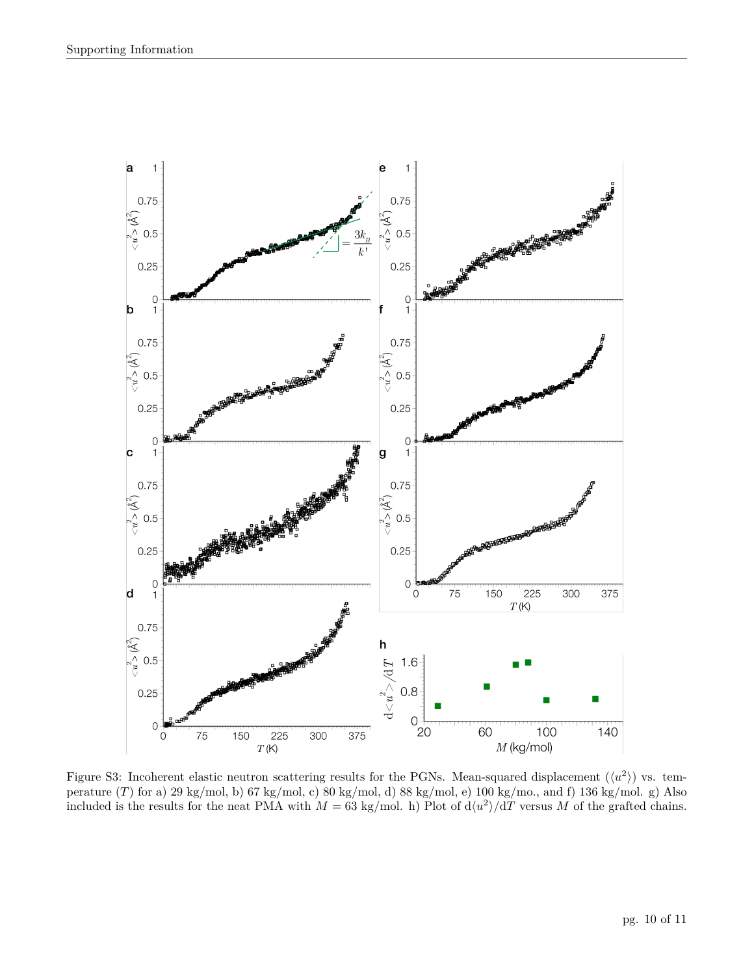

<span id="page-9-0"></span>Figure S3: Incoherent elastic neutron scattering results for the PGNs. Mean-squared displacement  $(\langle u^2 \rangle)$  vs. temperature (T) for a) 29 kg/mol, b) 67 kg/mol, c) 80 kg/mol, d) 88 kg/mol, e) 100 kg/mo., and f) 136 kg/mol. g) Also included is the results for the neat PMA with  $M = 63$  kg/mol. h) Plot of  $d\langle u^2 \rangle / dT$  versus M of the grafted chains.